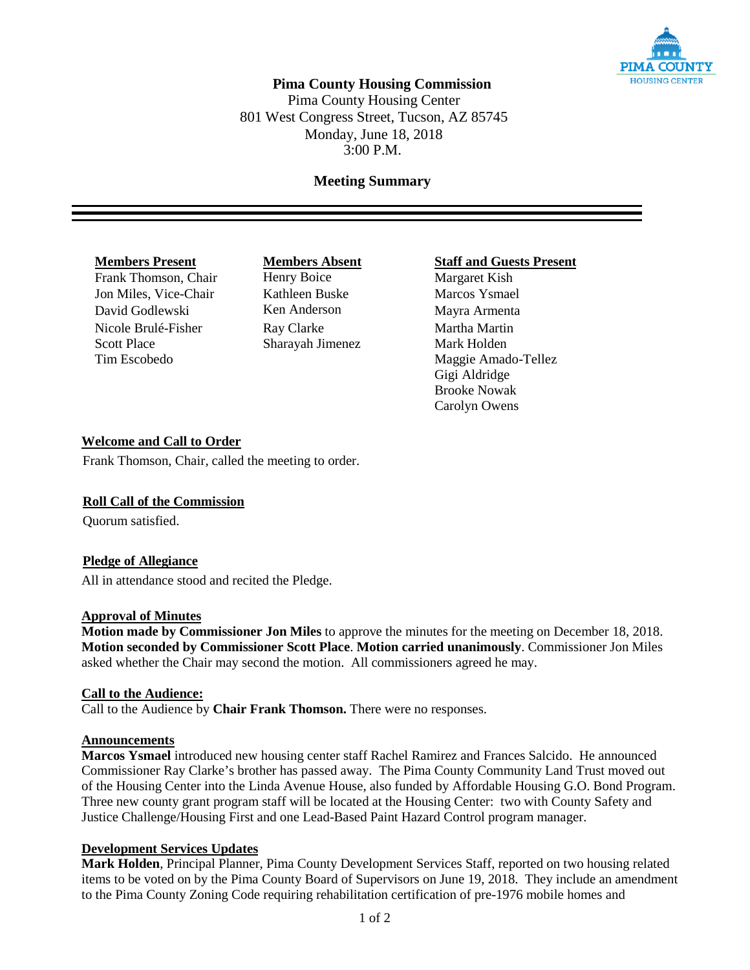

## **Pima County Housing Commission**

Pima County Housing Center 801 West Congress Street, Tucson, AZ 85745 Monday, June 18, 2018 3:00 P.M.

## **Meeting Summary**

Frank Thomson, Chair Henry Boice Margaret Kish Jon Miles, Vice-Chair Kathleen Buske Marcos Ysmael David Godlewski Ken Anderson Mayra Armenta Nicole Brulé-Fisher Ray Clarke Martha Martin Scott Place Sharayah Jimenez Mark Holden

**Members Present**<br> **Members Absent**<br> **Members Absent**<br> **Staff and Guests Present**<br> **Margaret Kish** 

Tim Escobedo **Maggie Amado-Tellez** Gigi Aldridge Brooke Nowak Carolyn Owens

## **Welcome and Call to Order**

Frank Thomson, Chair, called the meeting to order.

## **Roll Call of the Commission**

Quorum satisfied.

### **Pledge of Allegiance**

All in attendance stood and recited the Pledge.

### **Approval of Minutes**

**Motion made by Commissioner Jon Miles** to approve the minutes for the meeting on December 18, 2018. **Motion seconded by Commissioner Scott Place**. **Motion carried unanimously**. Commissioner Jon Miles asked whether the Chair may second the motion. All commissioners agreed he may.

### **Call to the Audience:**

Call to the Audience by **Chair Frank Thomson.** There were no responses.

### **Announcements**

**Marcos Ysmael** introduced new housing center staff Rachel Ramirez and Frances Salcido. He announced Commissioner Ray Clarke's brother has passed away. The Pima County Community Land Trust moved out of the Housing Center into the Linda Avenue House, also funded by Affordable Housing G.O. Bond Program. Three new county grant program staff will be located at the Housing Center: two with County Safety and Justice Challenge/Housing First and one Lead-Based Paint Hazard Control program manager.

### **Development Services Updates**

**Mark Holden**, Principal Planner, Pima County Development Services Staff, reported on two housing related items to be voted on by the Pima County Board of Supervisors on June 19, 2018. They include an amendment to the Pima County Zoning Code requiring rehabilitation certification of pre-1976 mobile homes and